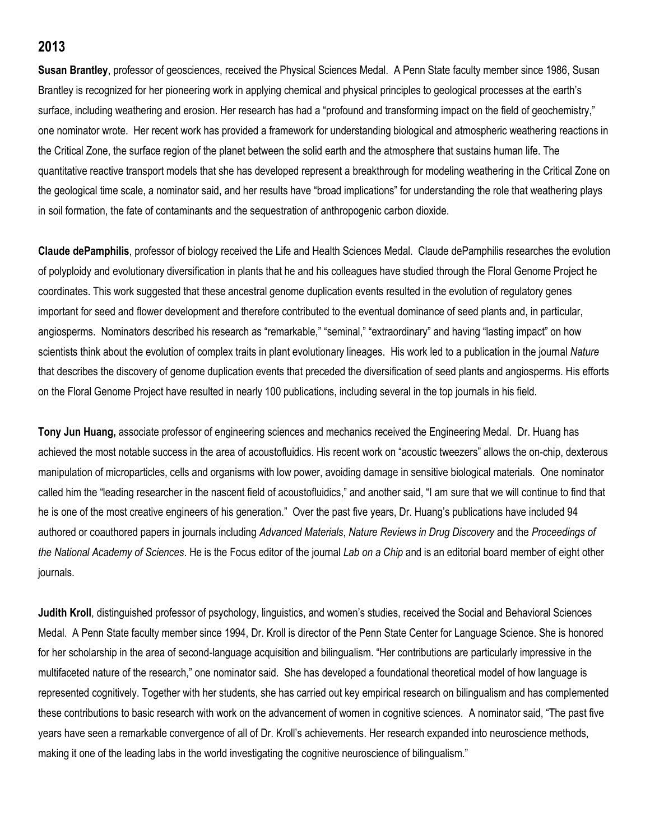## **2013**

**Susan Brantley**, professor of geosciences, received the Physical Sciences Medal. A Penn State faculty member since 1986, Susan Brantley is recognized for her pioneering work in applying chemical and physical principles to geological processes at the earth's surface, including weathering and erosion. Her research has had a "profound and transforming impact on the field of geochemistry," one nominator wrote. Her recent work has provided a framework for understanding biological and atmospheric weathering reactions in the Critical Zone, the surface region of the planet between the solid earth and the atmosphere that sustains human life. The quantitative reactive transport models that she has developed represent a breakthrough for modeling weathering in the Critical Zone on the geological time scale, a nominator said, and her results have "broad implications" for understanding the role that weathering plays in soil formation, the fate of contaminants and the sequestration of anthropogenic carbon dioxide.

**Claude dePamphilis**, professor of biology received the Life and Health Sciences Medal. Claude dePamphilis researches the evolution of polyploidy and evolutionary diversification in plants that he and his colleagues have studied through the Floral Genome Project he coordinates. This work suggested that these ancestral genome duplication events resulted in the evolution of regulatory genes important for seed and flower development and therefore contributed to the eventual dominance of seed plants and, in particular, angiosperms. Nominators described his research as "remarkable," "seminal," "extraordinary" and having "lasting impact" on how scientists think about the evolution of complex traits in plant evolutionary lineages. His work led to a publication in the journal *Nature* that describes the discovery of genome duplication events that preceded the diversification of seed plants and angiosperms. His efforts on the Floral Genome Project have resulted in nearly 100 publications, including several in the top journals in his field.

**Tony Jun Huang,** associate professor of engineering sciences and mechanics received the Engineering Medal. Dr. Huang has achieved the most notable success in the area of acoustofluidics. His recent work on "acoustic tweezers" allows the on-chip, dexterous manipulation of microparticles, cells and organisms with low power, avoiding damage in sensitive biological materials. One nominator called him the "leading researcher in the nascent field of acoustofluidics," and another said, "I am sure that we will continue to find that he is one of the most creative engineers of his generation." Over the past five years, Dr. Huang's publications have included 94 authored or coauthored papers in journals including *Advanced Materials*, *Nature Reviews in Drug Discovery* and the *Proceedings of the National Academy of Sciences*. He is the Focus editor of the journal *Lab on a Chip* and is an editorial board member of eight other journals.

**Judith Kroll**, distinguished professor of psychology, linguistics, and women's studies, received the Social and Behavioral Sciences Medal. A Penn State faculty member since 1994, Dr. Kroll is director of the Penn State Center for Language Science. She is honored for her scholarship in the area of second-language acquisition and bilingualism. "Her contributions are particularly impressive in the multifaceted nature of the research," one nominator said. She has developed a foundational theoretical model of how language is represented cognitively. Together with her students, she has carried out key empirical research on bilingualism and has complemented these contributions to basic research with work on the advancement of women in cognitive sciences. A nominator said, "The past five years have seen a remarkable convergence of all of Dr. Kroll's achievements. Her research expanded into neuroscience methods, making it one of the leading labs in the world investigating the cognitive neuroscience of bilingualism."